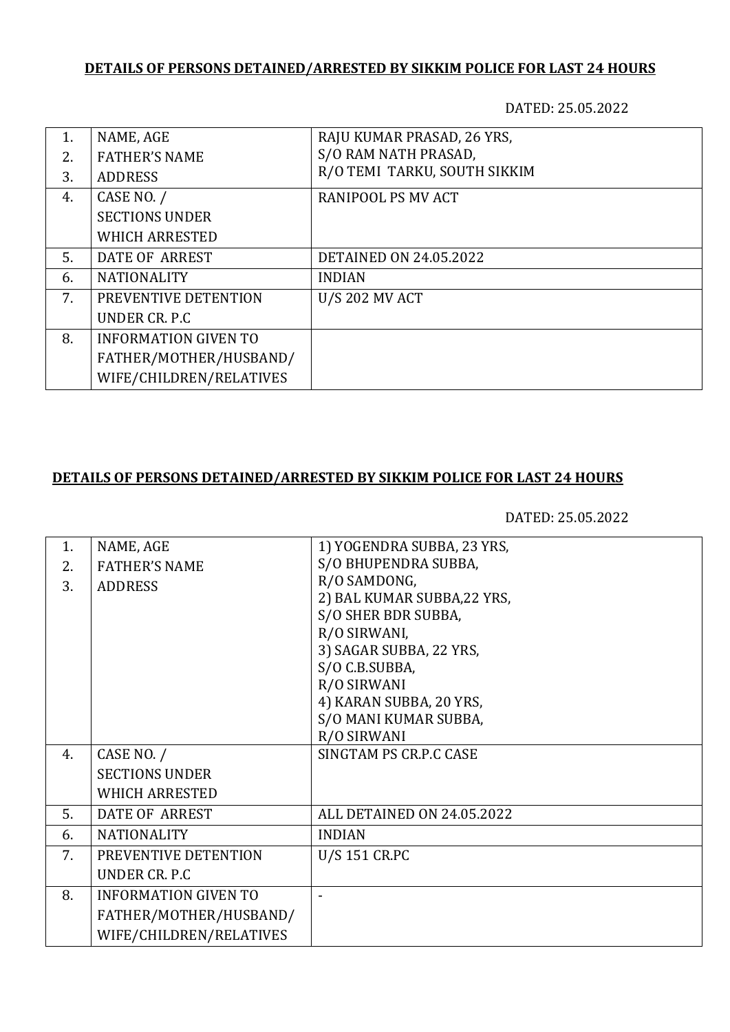# **DETAILS OF PERSONS DETAINED/ARRESTED BY SIKKIM POLICE FOR LAST 24 HOURS**

DATED: 25.05.2022

| 1. | NAME, AGE                   | RAJU KUMAR PRASAD, 26 YRS,    |
|----|-----------------------------|-------------------------------|
| 2. | <b>FATHER'S NAME</b>        | S/O RAM NATH PRASAD,          |
| 3. | <b>ADDRESS</b>              | R/O TEMI TARKU, SOUTH SIKKIM  |
| 4. | CASE NO. /                  | <b>RANIPOOL PS MV ACT</b>     |
|    | <b>SECTIONS UNDER</b>       |                               |
|    | <b>WHICH ARRESTED</b>       |                               |
| 5. | DATE OF ARREST              | <b>DETAINED ON 24.05.2022</b> |
| 6. | <b>NATIONALITY</b>          | <b>INDIAN</b>                 |
| 7. | PREVENTIVE DETENTION        | <b>U/S 202 MV ACT</b>         |
|    | UNDER CR. P.C.              |                               |
| 8. | <b>INFORMATION GIVEN TO</b> |                               |
|    | FATHER/MOTHER/HUSBAND/      |                               |
|    | WIFE/CHILDREN/RELATIVES     |                               |

### **DETAILS OF PERSONS DETAINED/ARRESTED BY SIKKIM POLICE FOR LAST 24 HOURS**

DATED: 25.05.2022

| 1. | NAME, AGE                   | 1) YOGENDRA SUBBA, 23 YRS,  |
|----|-----------------------------|-----------------------------|
| 2. | <b>FATHER'S NAME</b>        | S/O BHUPENDRA SUBBA,        |
| 3. | <b>ADDRESS</b>              | R/O SAMDONG,                |
|    |                             | 2) BAL KUMAR SUBBA, 22 YRS, |
|    |                             | S/O SHER BDR SUBBA,         |
|    |                             | R/O SIRWANI,                |
|    |                             | 3) SAGAR SUBBA, 22 YRS,     |
|    |                             | S/O C.B.SUBBA,              |
|    |                             | R/O SIRWANI                 |
|    |                             | 4) KARAN SUBBA, 20 YRS,     |
|    |                             | S/O MANI KUMAR SUBBA,       |
|    |                             | R/O SIRWANI                 |
| 4. | CASE NO. /                  | SINGTAM PS CR.P.C CASE      |
|    | <b>SECTIONS UNDER</b>       |                             |
|    | <b>WHICH ARRESTED</b>       |                             |
| 5. | DATE OF ARREST              | ALL DETAINED ON 24.05.2022  |
| 6. | <b>NATIONALITY</b>          | <b>INDIAN</b>               |
| 7. | PREVENTIVE DETENTION        | U/S 151 CR.PC               |
|    | UNDER CR. P.C               |                             |
| 8. | <b>INFORMATION GIVEN TO</b> |                             |
|    | FATHER/MOTHER/HUSBAND/      |                             |
|    | WIFE/CHILDREN/RELATIVES     |                             |
|    |                             |                             |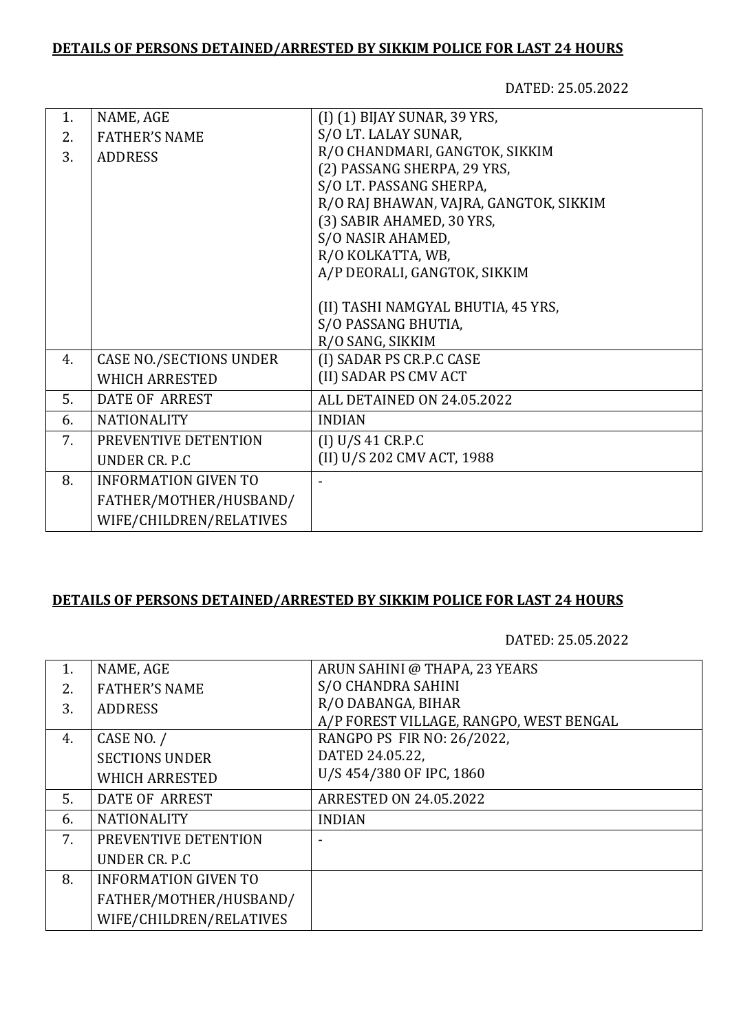### **DETAILS OF PERSONS DETAINED/ARRESTED BY SIKKIM POLICE FOR LAST 24 HOURS**

DATED: 25.05.2022

| $\mathbf{1}$ . | NAME, AGE                      | (I) (1) BIJAY SUNAR, 39 YRS,           |
|----------------|--------------------------------|----------------------------------------|
| 2.             | <b>FATHER'S NAME</b>           | S/O LT. LALAY SUNAR,                   |
| 3.             | <b>ADDRESS</b>                 | R/O CHANDMARI, GANGTOK, SIKKIM         |
|                |                                | (2) PASSANG SHERPA, 29 YRS,            |
|                |                                | S/O LT. PASSANG SHERPA,                |
|                |                                | R/O RAJ BHAWAN, VAJRA, GANGTOK, SIKKIM |
|                |                                | (3) SABIR AHAMED, 30 YRS,              |
|                |                                | S/O NASIR AHAMED,                      |
|                |                                | R/O KOLKATTA, WB,                      |
|                |                                | A/P DEORALI, GANGTOK, SIKKIM           |
|                |                                |                                        |
|                |                                | (II) TASHI NAMGYAL BHUTIA, 45 YRS,     |
|                |                                | S/O PASSANG BHUTIA,                    |
|                |                                | R/O SANG, SIKKIM                       |
| 4.             | <b>CASE NO./SECTIONS UNDER</b> | (I) SADAR PS CR.P.C CASE               |
|                | <b>WHICH ARRESTED</b>          | (II) SADAR PS CMV ACT                  |
| 5.             | <b>DATE OF ARREST</b>          | ALL DETAINED ON 24.05.2022             |
| 6.             | <b>NATIONALITY</b>             | <b>INDIAN</b>                          |
| 7.             | PREVENTIVE DETENTION           | (I) U/S 41 CR.P.C                      |
|                | UNDER CR. P.C                  | (II) U/S 202 CMV ACT, 1988             |
| 8.             | <b>INFORMATION GIVEN TO</b>    |                                        |
|                | FATHER/MOTHER/HUSBAND/         |                                        |
|                | WIFE/CHILDREN/RELATIVES        |                                        |
|                |                                |                                        |

#### **DETAILS OF PERSONS DETAINED/ARRESTED BY SIKKIM POLICE FOR LAST 24 HOURS**

DATED: 25.05.2022

| 1. | NAME, AGE                   | ARUN SAHINI @ THAPA, 23 YEARS           |
|----|-----------------------------|-----------------------------------------|
| 2. | <b>FATHER'S NAME</b>        | S/O CHANDRA SAHINI                      |
| 3. | <b>ADDRESS</b>              | R/O DABANGA, BIHAR                      |
|    |                             | A/P FOREST VILLAGE, RANGPO, WEST BENGAL |
| 4. | CASE NO. /                  | RANGPO PS FIR NO: 26/2022,              |
|    | <b>SECTIONS UNDER</b>       | DATED 24.05.22,                         |
|    | <b>WHICH ARRESTED</b>       | U/S 454/380 OF IPC, 1860                |
| 5. | DATE OF ARREST              | <b>ARRESTED ON 24.05.2022</b>           |
| 6. | <b>NATIONALITY</b>          | <b>INDIAN</b>                           |
| 7. | PREVENTIVE DETENTION        |                                         |
|    | UNDER CR. P.C.              |                                         |
| 8. | <b>INFORMATION GIVEN TO</b> |                                         |
|    | FATHER/MOTHER/HUSBAND/      |                                         |
|    | WIFE/CHILDREN/RELATIVES     |                                         |